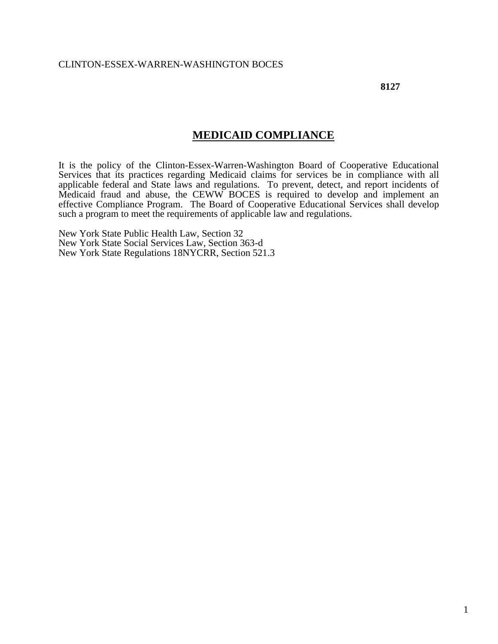**8127**

# **MEDICAID COMPLIANCE**

It is the policy of the Clinton-Essex-Warren-Washington Board of Cooperative Educational Services that its practices regarding Medicaid claims for services be in compliance with all applicable federal and State laws and regulations. To prevent, detect, and report incidents of Medicaid fraud and abuse, the CEWW BOCES is required to develop and implement an effective Compliance Program. The Board of Cooperative Educational Services shall develop such a program to meet the requirements of applicable law and regulations.

New York State Public Health Law, Section 32 New York State Social Services Law, Section 363-d New York State Regulations 18NYCRR, Section 521.3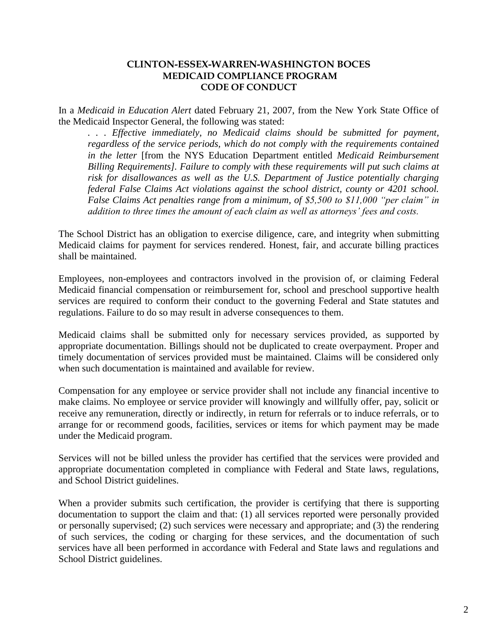#### **CLINTON-ESSEX-WARREN-WASHINGTON BOCES MEDICAID COMPLIANCE PROGRAM CODE OF CONDUCT**

In a *Medicaid in Education Alert* dated February 21, 2007, from the New York State Office of the Medicaid Inspector General, the following was stated:

*. . . Effective immediately, no Medicaid claims should be submitted for payment, regardless of the service periods, which do not comply with the requirements contained in the letter* [from the NYS Education Department entitled *Medicaid Reimbursement Billing Requirements]. Failure to comply with these requirements will put such claims at risk for disallowances as well as the U.S. Department of Justice potentially charging federal False Claims Act violations against the school district, county or 4201 school. False Claims Act penalties range from a minimum, of \$5,500 to \$11,000 "per claim" in addition to three times the amount of each claim as well as attorneys' fees and costs.* 

The School District has an obligation to exercise diligence, care, and integrity when submitting Medicaid claims for payment for services rendered. Honest, fair, and accurate billing practices shall be maintained.

Employees, non-employees and contractors involved in the provision of, or claiming Federal Medicaid financial compensation or reimbursement for, school and preschool supportive health services are required to conform their conduct to the governing Federal and State statutes and regulations. Failure to do so may result in adverse consequences to them.

Medicaid claims shall be submitted only for necessary services provided, as supported by appropriate documentation. Billings should not be duplicated to create overpayment. Proper and timely documentation of services provided must be maintained. Claims will be considered only when such documentation is maintained and available for review.

Compensation for any employee or service provider shall not include any financial incentive to make claims. No employee or service provider will knowingly and willfully offer, pay, solicit or receive any remuneration, directly or indirectly, in return for referrals or to induce referrals, or to arrange for or recommend goods, facilities, services or items for which payment may be made under the Medicaid program.

Services will not be billed unless the provider has certified that the services were provided and appropriate documentation completed in compliance with Federal and State laws, regulations, and School District guidelines.

When a provider submits such certification, the provider is certifying that there is supporting documentation to support the claim and that: (1) all services reported were personally provided or personally supervised; (2) such services were necessary and appropriate; and (3) the rendering of such services, the coding or charging for these services, and the documentation of such services have all been performed in accordance with Federal and State laws and regulations and School District guidelines.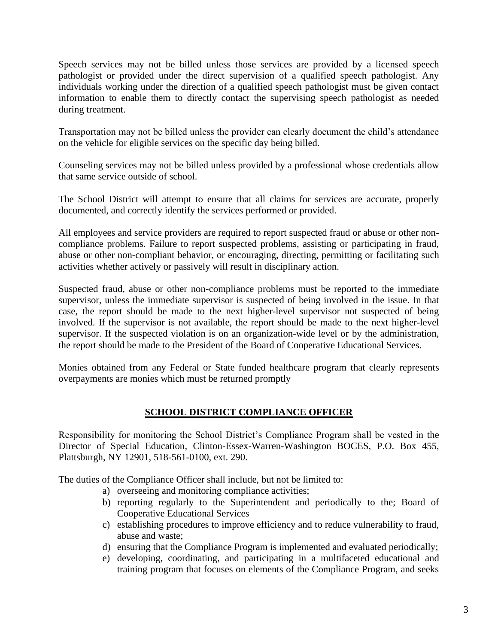Speech services may not be billed unless those services are provided by a licensed speech pathologist or provided under the direct supervision of a qualified speech pathologist. Any individuals working under the direction of a qualified speech pathologist must be given contact information to enable them to directly contact the supervising speech pathologist as needed during treatment.

Transportation may not be billed unless the provider can clearly document the child's attendance on the vehicle for eligible services on the specific day being billed.

Counseling services may not be billed unless provided by a professional whose credentials allow that same service outside of school.

The School District will attempt to ensure that all claims for services are accurate, properly documented, and correctly identify the services performed or provided.

All employees and service providers are required to report suspected fraud or abuse or other noncompliance problems. Failure to report suspected problems, assisting or participating in fraud, abuse or other non-compliant behavior, or encouraging, directing, permitting or facilitating such activities whether actively or passively will result in disciplinary action.

Suspected fraud, abuse or other non-compliance problems must be reported to the immediate supervisor, unless the immediate supervisor is suspected of being involved in the issue. In that case, the report should be made to the next higher-level supervisor not suspected of being involved. If the supervisor is not available, the report should be made to the next higher-level supervisor. If the suspected violation is on an organization-wide level or by the administration, the report should be made to the President of the Board of Cooperative Educational Services.

Monies obtained from any Federal or State funded healthcare program that clearly represents overpayments are monies which must be returned promptly

# **SCHOOL DISTRICT COMPLIANCE OFFICER**

Responsibility for monitoring the School District's Compliance Program shall be vested in the Director of Special Education, Clinton-Essex-Warren-Washington BOCES, P.O. Box 455, Plattsburgh, NY 12901, 518-561-0100, ext. 290.

The duties of the Compliance Officer shall include, but not be limited to:

- a) overseeing and monitoring compliance activities;
- b) reporting regularly to the Superintendent and periodically to the; Board of Cooperative Educational Services
- c) establishing procedures to improve efficiency and to reduce vulnerability to fraud, abuse and waste;
- d) ensuring that the Compliance Program is implemented and evaluated periodically;
- e) developing, coordinating, and participating in a multifaceted educational and training program that focuses on elements of the Compliance Program, and seeks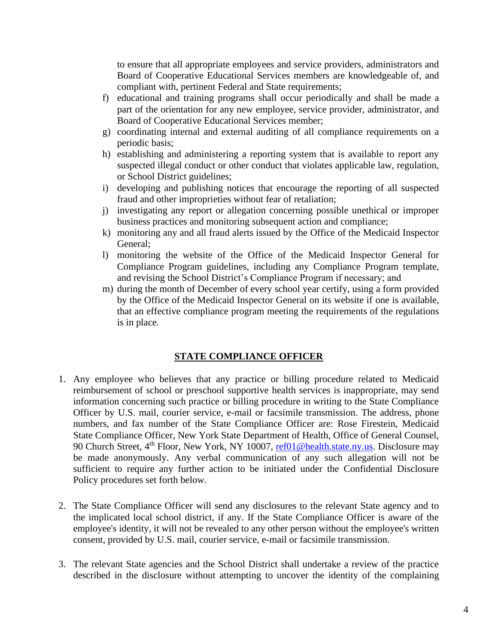to ensure that all appropriate employees and service providers, administrators and Board of Cooperative Educational Services members are knowledgeable of, and compliant with, pertinent Federal and State requirements;

- f) educational and training programs shall occur periodically and shall be made a part of the orientation for any new employee, service provider, administrator, and Board of Cooperative Educational Services member;
- g) coordinating internal and external auditing of all compliance requirements on a periodic basis;
- h) establishing and administering a reporting system that is available to report any suspected illegal conduct or other conduct that violates applicable law, regulation, or School District guidelines;
- i) developing and publishing notices that encourage the reporting of all suspected fraud and other improprieties without fear of retaliation;
- j) investigating any report or allegation concerning possible unethical or improper business practices and monitoring subsequent action and compliance;
- k) monitoring any and all fraud alerts issued by the Office of the Medicaid Inspector General;
- l) monitoring the website of the Office of the Medicaid Inspector General for Compliance Program guidelines, including any Compliance Program template, and revising the School District's Compliance Program if necessary; and
- m) during the month of December of every school year certify, using a form provided by the Office of the Medicaid Inspector General on its website if one is available, that an effective compliance program meeting the requirements of the regulations is in place.

## **STATE COMPLIANCE OFFICER**

- 1. Any employee who believes that any practice or billing procedure related to Medicaid reimbursement of school or preschool supportive health services is inappropriate, may send information concerning such practice or billing procedure in writing to the State Compliance Officer by U.S. mail, courier service, e-mail or facsimile transmission. The address, phone numbers, and fax number of the State Compliance Officer are: Rose Firestein, Medicaid State Compliance Officer, New York State Department of Health, Office of General Counsel, 90 Church Street, 4<sup>th</sup> Floor, New York, NY 10007, [ref01@health.state.ny.us.](mailto:ref01@health.state.ny.us) Disclosure may be made anonymously. Any verbal communication of any such allegation will not be sufficient to require any further action to be initiated under the Confidential Disclosure Policy procedures set forth below.
- 2. The State Compliance Officer will send any disclosures to the relevant State agency and to the implicated local school district, if any. If the State Compliance Officer is aware of the employee's identity, it will not be revealed to any other person without the employee's written consent, provided by U.S. mail, courier service, e-mail or facsimile transmission.
- 3. The relevant State agencies and the School District shall undertake a review of the practice described in the disclosure without attempting to uncover the identity of the complaining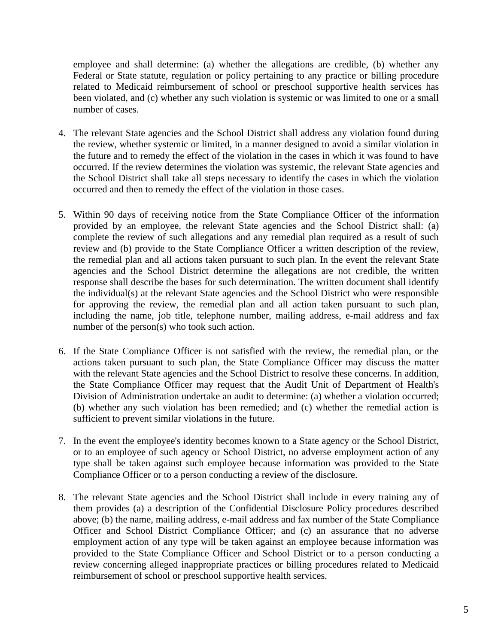employee and shall determine: (a) whether the allegations are credible, (b) whether any Federal or State statute, regulation or policy pertaining to any practice or billing procedure related to Medicaid reimbursement of school or preschool supportive health services has been violated, and (c) whether any such violation is systemic or was limited to one or a small number of cases.

- 4. The relevant State agencies and the School District shall address any violation found during the review, whether systemic or limited, in a manner designed to avoid a similar violation in the future and to remedy the effect of the violation in the cases in which it was found to have occurred. If the review determines the violation was systemic, the relevant State agencies and the School District shall take all steps necessary to identify the cases in which the violation occurred and then to remedy the effect of the violation in those cases.
- 5. Within 90 days of receiving notice from the State Compliance Officer of the information provided by an employee, the relevant State agencies and the School District shall: (a) complete the review of such allegations and any remedial plan required as a result of such review and (b) provide to the State Compliance Officer a written description of the review, the remedial plan and all actions taken pursuant to such plan. In the event the relevant State agencies and the School District determine the allegations are not credible, the written response shall describe the bases for such determination. The written document shall identify the individual(s) at the relevant State agencies and the School District who were responsible for approving the review, the remedial plan and all action taken pursuant to such plan, including the name, job title, telephone number, mailing address, e-mail address and fax number of the person(s) who took such action.
- 6. If the State Compliance Officer is not satisfied with the review, the remedial plan, or the actions taken pursuant to such plan, the State Compliance Officer may discuss the matter with the relevant State agencies and the School District to resolve these concerns. In addition, the State Compliance Officer may request that the Audit Unit of Department of Health's Division of Administration undertake an audit to determine: (a) whether a violation occurred; (b) whether any such violation has been remedied; and (c) whether the remedial action is sufficient to prevent similar violations in the future.
- 7. In the event the employee's identity becomes known to a State agency or the School District, or to an employee of such agency or School District, no adverse employment action of any type shall be taken against such employee because information was provided to the State Compliance Officer or to a person conducting a review of the disclosure.
- 8. The relevant State agencies and the School District shall include in every training any of them provides (a) a description of the Confidential Disclosure Policy procedures described above; (b) the name, mailing address, e-mail address and fax number of the State Compliance Officer and School District Compliance Officer; and (c) an assurance that no adverse employment action of any type will be taken against an employee because information was provided to the State Compliance Officer and School District or to a person conducting a review concerning alleged inappropriate practices or billing procedures related to Medicaid reimbursement of school or preschool supportive health services.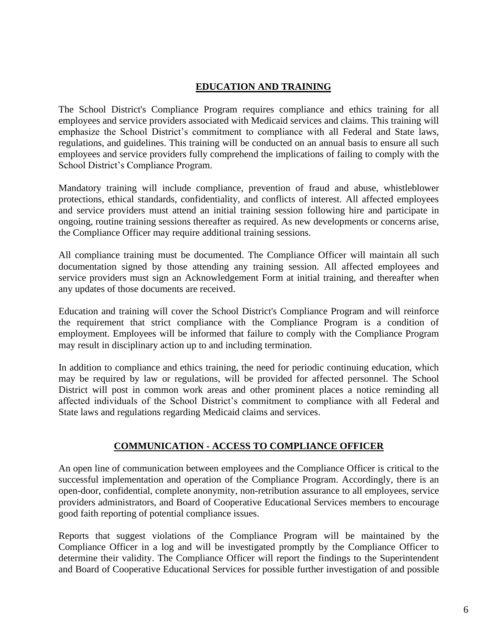## **EDUCATION AND TRAINING**

The School District's Compliance Program requires compliance and ethics training for all employees and service providers associated with Medicaid services and claims. This training will emphasize the School District's commitment to compliance with all Federal and State laws, regulations, and guidelines. This training will be conducted on an annual basis to ensure all such employees and service providers fully comprehend the implications of failing to comply with the School District's Compliance Program.

Mandatory training will include compliance, prevention of fraud and abuse, whistleblower protections, ethical standards, confidentiality, and conflicts of interest. All affected employees and service providers must attend an initial training session following hire and participate in ongoing, routine training sessions thereafter as required. As new developments or concerns arise, the Compliance Officer may require additional training sessions.

All compliance training must be documented. The Compliance Officer will maintain all such documentation signed by those attending any training session. All affected employees and service providers must sign an Acknowledgement Form at initial training, and thereafter when any updates of those documents are received.

Education and training will cover the School District's Compliance Program and will reinforce the requirement that strict compliance with the Compliance Program is a condition of employment. Employees will be informed that failure to comply with the Compliance Program may result in disciplinary action up to and including termination.

In addition to compliance and ethics training, the need for periodic continuing education, which may be required by law or regulations, will be provided for affected personnel. The School District will post in common work areas and other prominent places a notice reminding all affected individuals of the School District's commitment to compliance with all Federal and State laws and regulations regarding Medicaid claims and services.

## **COMMUNICATION - ACCESS TO COMPLIANCE OFFICER**

An open line of communication between employees and the Compliance Officer is critical to the successful implementation and operation of the Compliance Program. Accordingly, there is an open-door, confidential, complete anonymity, non-retribution assurance to all employees, service providers administrators, and Board of Cooperative Educational Services members to encourage good faith reporting of potential compliance issues.

Reports that suggest violations of the Compliance Program will be maintained by the Compliance Officer in a log and will be investigated promptly by the Compliance Officer to determine their validity. The Compliance Officer will report the findings to the Superintendent and Board of Cooperative Educational Services for possible further investigation of and possible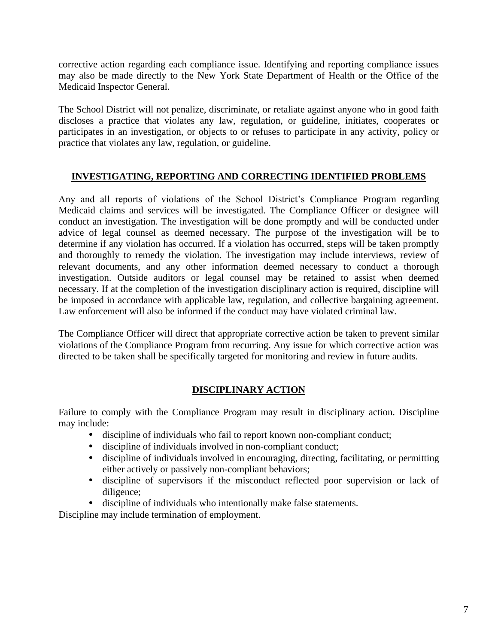corrective action regarding each compliance issue. Identifying and reporting compliance issues may also be made directly to the New York State Department of Health or the Office of the Medicaid Inspector General.

The School District will not penalize, discriminate, or retaliate against anyone who in good faith discloses a practice that violates any law, regulation, or guideline, initiates, cooperates or participates in an investigation, or objects to or refuses to participate in any activity, policy or practice that violates any law, regulation, or guideline.

## **INVESTIGATING, REPORTING AND CORRECTING IDENTIFIED PROBLEMS**

Any and all reports of violations of the School District's Compliance Program regarding Medicaid claims and services will be investigated. The Compliance Officer or designee will conduct an investigation. The investigation will be done promptly and will be conducted under advice of legal counsel as deemed necessary. The purpose of the investigation will be to determine if any violation has occurred. If a violation has occurred, steps will be taken promptly and thoroughly to remedy the violation. The investigation may include interviews, review of relevant documents, and any other information deemed necessary to conduct a thorough investigation. Outside auditors or legal counsel may be retained to assist when deemed necessary. If at the completion of the investigation disciplinary action is required, discipline will be imposed in accordance with applicable law, regulation, and collective bargaining agreement. Law enforcement will also be informed if the conduct may have violated criminal law.

The Compliance Officer will direct that appropriate corrective action be taken to prevent similar violations of the Compliance Program from recurring. Any issue for which corrective action was directed to be taken shall be specifically targeted for monitoring and review in future audits.

## **DISCIPLINARY ACTION**

Failure to comply with the Compliance Program may result in disciplinary action. Discipline may include:

- discipline of individuals who fail to report known non-compliant conduct;
- discipline of individuals involved in non-compliant conduct;
- discipline of individuals involved in encouraging, directing, facilitating, or permitting either actively or passively non-compliant behaviors;
- discipline of supervisors if the misconduct reflected poor supervision or lack of diligence;
- discipline of individuals who intentionally make false statements.

Discipline may include termination of employment.